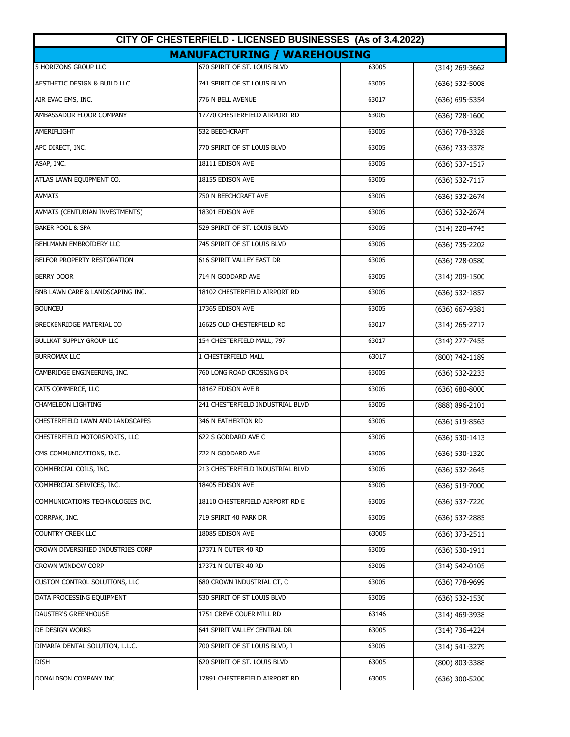| CITY OF CHESTERFIELD - LICENSED BUSINESSES (As of 3.4.2022) |                                  |       |                    |  |  |  |
|-------------------------------------------------------------|----------------------------------|-------|--------------------|--|--|--|
| <b>MANUFACTURING / WAREHOUSING</b>                          |                                  |       |                    |  |  |  |
| <b>5 HORIZONS GROUP LLC</b>                                 | 670 SPIRIT OF ST. LOUIS BLVD     | 63005 | (314) 269-3662     |  |  |  |
| AESTHETIC DESIGN & BUILD LLC                                | 741 SPIRIT OF ST LOUIS BLVD      | 63005 | $(636)$ 532-5008   |  |  |  |
| AIR EVAC EMS, INC.                                          | 776 N BELL AVENUE                | 63017 | $(636) 695 - 5354$ |  |  |  |
| AMBASSADOR FLOOR COMPANY                                    | 17770 CHESTERFIELD AIRPORT RD    | 63005 | $(636) 728 - 1600$ |  |  |  |
| AMERIFLIGHT                                                 | 532 BEECHCRAFT                   | 63005 | $(636)$ 778-3328   |  |  |  |
| APC DIRECT, INC.                                            | 770 SPIRIT OF ST LOUIS BLVD      | 63005 | (636) 733-3378     |  |  |  |
| ASAP, INC.                                                  | 18111 EDISON AVE                 | 63005 | $(636) 537-1517$   |  |  |  |
| ATLAS LAWN EQUIPMENT CO.                                    | 18155 EDISON AVE                 | 63005 | $(636) 532 - 7117$ |  |  |  |
| <b>AVMATS</b>                                               | 750 N BEECHCRAFT AVE             | 63005 | (636) 532-2674     |  |  |  |
| AVMATS (CENTURIAN INVESTMENTS)                              | 18301 EDISON AVE                 | 63005 | (636) 532-2674     |  |  |  |
| <b>BAKER POOL &amp; SPA</b>                                 | 529 SPIRIT OF ST. LOUIS BLVD     | 63005 | (314) 220-4745     |  |  |  |
| <b>BEHLMANN EMBROIDERY LLC</b>                              | 745 SPIRIT OF ST LOUIS BLVD      | 63005 | $(636)$ 735-2202   |  |  |  |
| BELFOR PROPERTY RESTORATION                                 | 616 SPIRIT VALLEY EAST DR        | 63005 | $(636)$ 728-0580   |  |  |  |
| <b>BERRY DOOR</b>                                           | 714 N GODDARD AVE                | 63005 | $(314)$ 209-1500   |  |  |  |
| BNB LAWN CARE & LANDSCAPING INC.                            | 18102 CHESTERFIELD AIRPORT RD    | 63005 | $(636)$ 532-1857   |  |  |  |
| <b>BOUNCEU</b>                                              | 17365 EDISON AVE                 | 63005 | $(636) 667 - 9381$ |  |  |  |
| BRECKENRIDGE MATERIAL CO                                    | 16625 OLD CHESTERFIELD RD        | 63017 | $(314)$ 265-2717   |  |  |  |
| <b>BULLKAT SUPPLY GROUP LLC</b>                             | 154 CHESTERFIELD MALL, 797       | 63017 | (314) 277-7455     |  |  |  |
| <b>BURROMAX LLC</b>                                         | 1 CHESTERFIELD MALL              | 63017 | (800) 742-1189     |  |  |  |
| CAMBRIDGE ENGINEERING, INC.                                 | 760 LONG ROAD CROSSING DR        | 63005 | $(636) 532 - 2233$ |  |  |  |
| CAT5 COMMERCE, LLC                                          | 18167 EDISON AVE B               | 63005 | $(636) 680 - 8000$ |  |  |  |
| <b>CHAMELEON LIGHTING</b>                                   | 241 CHESTERFIELD INDUSTRIAL BLVD | 63005 | (888) 896-2101     |  |  |  |
| CHESTERFIELD LAWN AND LANDSCAPES                            | 346 N EATHERTON RD               | 63005 | (636) 519-8563     |  |  |  |
| CHESTERFIELD MOTORSPORTS, LLC                               | 622 S GODDARD AVE C              | 63005 | $(636) 530 - 1413$ |  |  |  |
| CMS COMMUNICATIONS, INC.                                    | 722 N GODDARD AVE                | 63005 | $(636)$ 530-1320   |  |  |  |
| COMMERCIAL COILS, INC.                                      | 213 CHESTERFIELD INDUSTRIAL BLVD | 63005 | $(636)$ 532-2645   |  |  |  |
| COMMERCIAL SERVICES, INC.                                   | 18405 EDISON AVE                 | 63005 | $(636)$ 519-7000   |  |  |  |
| COMMUNICATIONS TECHNOLOGIES INC.                            | 18110 CHESTERFIELD AIRPORT RD E  | 63005 | (636) 537-7220     |  |  |  |
| CORRPAK, INC.                                               | 719 SPIRIT 40 PARK DR            | 63005 | $(636)$ 537-2885   |  |  |  |
| <b>COUNTRY CREEK LLC</b>                                    | 18085 EDISON AVE                 | 63005 | $(636)$ 373-2511   |  |  |  |
| CROWN DIVERSIFIED INDUSTRIES CORP                           | 17371 N OUTER 40 RD              | 63005 | $(636)$ 530-1911   |  |  |  |
| CROWN WINDOW CORP                                           | 17371 N OUTER 40 RD              | 63005 | (314) 542-0105     |  |  |  |
| CUSTOM CONTROL SOLUTIONS, LLC                               | 680 CROWN INDUSTRIAL CT, C       | 63005 | (636) 778-9699     |  |  |  |
| DATA PROCESSING EQUIPMENT                                   | 530 SPIRIT OF ST LOUIS BLVD      | 63005 | $(636)$ 532-1530   |  |  |  |
| DAUSTER'S GREENHOUSE                                        | 1751 CREVE COUER MILL RD         | 63146 | $(314)$ 469-3938   |  |  |  |
| DE DESIGN WORKS                                             | 641 SPIRIT VALLEY CENTRAL DR     | 63005 | (314) 736-4224     |  |  |  |
| DIMARIA DENTAL SOLUTION, L.L.C.                             | 700 SPIRIT OF ST LOUIS BLVD, I   | 63005 | (314) 541-3279     |  |  |  |
| <b>DISH</b>                                                 | 620 SPIRIT OF ST. LOUIS BLVD     | 63005 | (800) 803-3388     |  |  |  |
| DONALDSON COMPANY INC                                       | 17891 CHESTERFIELD AIRPORT RD    | 63005 | $(636)$ 300-5200   |  |  |  |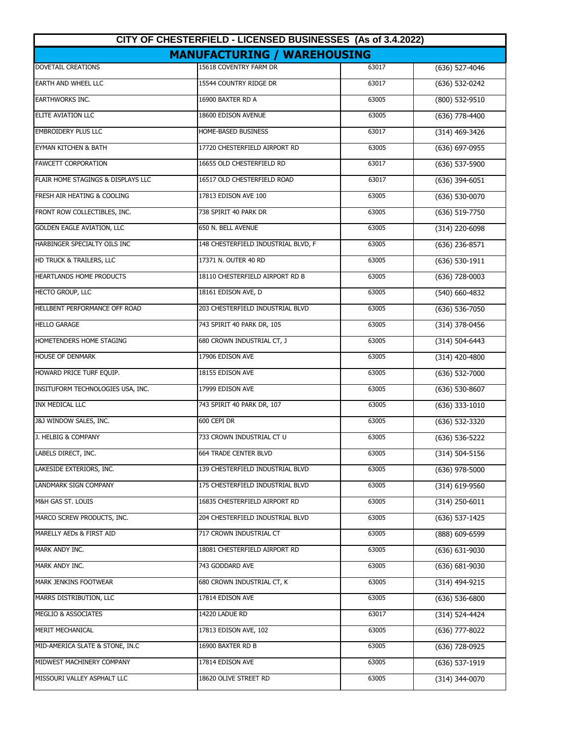| CITY OF CHESTERFIELD - LICENSED BUSINESSES (As of 3.4.2022) |                                     |       |                    |  |  |  |
|-------------------------------------------------------------|-------------------------------------|-------|--------------------|--|--|--|
| <b>MANUFACTURING / WAREHOUSING</b>                          |                                     |       |                    |  |  |  |
| <b>DOVETAIL CREATIONS</b>                                   | 15618 COVENTRY FARM DR              | 63017 | $(636)$ 527-4046   |  |  |  |
| <b>EARTH AND WHEEL LLC</b>                                  | 15544 COUNTRY RIDGE DR              | 63017 | (636) 532-0242     |  |  |  |
| <b>EARTHWORKS INC.</b>                                      | 16900 BAXTER RD A                   | 63005 | $(800)$ 532-9510   |  |  |  |
| ELITE AVIATION LLC                                          | 18600 EDISON AVENUE                 | 63005 | $(636)$ 778-4400   |  |  |  |
| <b>EMBROIDERY PLUS LLC</b>                                  | HOME-BASED BUSINESS                 | 63017 | (314) 469-3426     |  |  |  |
| <b>EYMAN KITCHEN &amp; BATH</b>                             | 17720 CHESTERFIELD AIRPORT RD       | 63005 | (636) 697-0955     |  |  |  |
| <b>FAWCETT CORPORATION</b>                                  | 16655 OLD CHESTERFIELD RD           | 63017 | (636) 537-5900     |  |  |  |
| FLAIR HOME STAGINGS & DISPLAYS LLC                          | 16517 OLD CHESTERFIELD ROAD         | 63017 | $(636)$ 394-6051   |  |  |  |
| FRESH AIR HEATING & COOLING                                 | 17813 EDISON AVE 100                | 63005 | (636) 530-0070     |  |  |  |
| FRONT ROW COLLECTIBLES, INC.                                | 738 SPIRIT 40 PARK DR               | 63005 | (636) 519-7750     |  |  |  |
| <b>GOLDEN EAGLE AVIATION, LLC</b>                           | 650 N. BELL AVENUE                  | 63005 | (314) 220-6098     |  |  |  |
| HARBINGER SPECIALTY OILS INC                                | 148 CHESTERFIELD INDUSTRIAL BLVD, F | 63005 | $(636)$ 236-8571   |  |  |  |
| HD TRUCK & TRAILERS, LLC                                    | 17371 N. OUTER 40 RD                | 63005 | $(636) 530-1911$   |  |  |  |
| <b>HEARTLANDS HOME PRODUCTS</b>                             | 18110 CHESTERFIELD AIRPORT RD B     | 63005 | $(636)$ 728-0003   |  |  |  |
| HECTO GROUP, LLC                                            | 18161 EDISON AVE, D                 | 63005 | $(540) 660 - 4832$ |  |  |  |
| HELLBENT PERFORMANCE OFF ROAD                               | 203 CHESTERFIELD INDUSTRIAL BLVD    | 63005 | $(636) 536 - 7050$ |  |  |  |
| <b>HELLO GARAGE</b>                                         | 743 SPIRIT 40 PARK DR, 105          | 63005 | (314) 378-0456     |  |  |  |
| HOMETENDERS HOME STAGING                                    | 680 CROWN INDUSTRIAL CT, J          | 63005 | $(314) 504 - 6443$ |  |  |  |
| <b>HOUSE OF DENMARK</b>                                     | 17906 EDISON AVE                    | 63005 | (314) 420-4800     |  |  |  |
| HOWARD PRICE TURF EQUIP.                                    | 18155 EDISON AVE                    | 63005 | $(636) 532 - 7000$ |  |  |  |
| INSITUFORM TECHNOLOGIES USA, INC.                           | 17999 EDISON AVE                    | 63005 | $(636) 530 - 8607$ |  |  |  |
| <b>INX MEDICAL LLC</b>                                      | 743 SPIRIT 40 PARK DR, 107          | 63005 | $(636)$ 333-1010   |  |  |  |
| J&J WINDOW SALES, INC.                                      | 600 CEPI DR                         | 63005 | (636) 532-3320     |  |  |  |
| J. HELBIG & COMPANY                                         | 733 CROWN INDUSTRIAL CT U           | 63005 | $(636) 536 - 5222$ |  |  |  |
| LABELS DIRECT, INC.                                         | 664 TRADE CENTER BLVD               | 63005 | $(314) 504 - 5156$ |  |  |  |
| LAKESIDE EXTERIORS, INC.                                    | 139 CHESTERFIELD INDUSTRIAL BLVD    | 63005 | $(636)$ 978-5000   |  |  |  |
| <b>LANDMARK SIGN COMPANY</b>                                | 175 CHESTERFIELD INDUSTRIAL BLVD    | 63005 | $(314)$ 619-9560   |  |  |  |
| M&H GAS ST. LOUIS                                           | 16835 CHESTERFIELD AIRPORT RD       | 63005 | $(314)$ 250-6011   |  |  |  |
| MARCO SCREW PRODUCTS, INC.                                  | 204 CHESTERFIELD INDUSTRIAL BLVD    | 63005 | $(636)$ 537-1425   |  |  |  |
| MARELLY AEDs & FIRST AID                                    | 717 CROWN INDUSTRIAL CT             | 63005 | (888) 609-6599     |  |  |  |
| <b>MARK ANDY INC.</b>                                       | 18081 CHESTERFIELD AIRPORT RD       | 63005 | $(636) 631 - 9030$ |  |  |  |
| MARK ANDY INC.                                              | 743 GODDARD AVE                     | 63005 | $(636) 681 - 9030$ |  |  |  |
| MARK JENKINS FOOTWEAR                                       | 680 CROWN INDUSTRIAL CT, K          | 63005 | (314) 494-9215     |  |  |  |
| MARRS DISTRIBUTION, LLC                                     | 17814 EDISON AVE                    | 63005 | (636) 536-6800     |  |  |  |
| MEGLIO & ASSOCIATES                                         | 14220 LADUE RD                      | 63017 | (314) 524-4424     |  |  |  |
| <b>MERIT MECHANICAL</b>                                     | 17813 EDISON AVE, 102               | 63005 | (636) 777-8022     |  |  |  |
| MID-AMERICA SLATE & STONE, IN.C                             | 16900 BAXTER RD B                   | 63005 | (636) 728-0925     |  |  |  |
| MIDWEST MACHINERY COMPANY                                   | 17814 EDISON AVE                    | 63005 | $(636)$ 537-1919   |  |  |  |
| MISSOURI VALLEY ASPHALT LLC                                 | 18620 OLIVE STREET RD               | 63005 | (314) 344-0070     |  |  |  |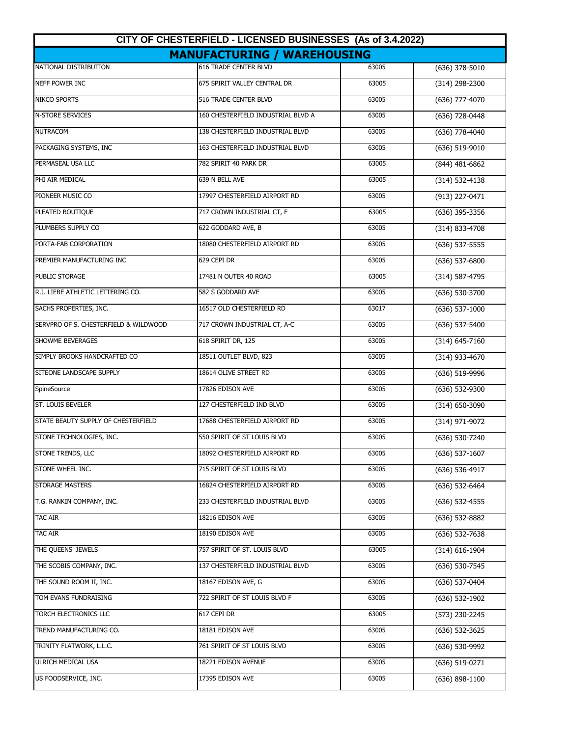| CITY OF CHESTERFIELD - LICENSED BUSINESSES (As of 3.4.2022) |                                    |       |                    |  |  |  |
|-------------------------------------------------------------|------------------------------------|-------|--------------------|--|--|--|
| <b>MANUFACTURING / WAREHOUSING</b>                          |                                    |       |                    |  |  |  |
| NATIONAL DISTRIBUTION                                       | <b>616 TRADE CENTER BLVD</b>       | 63005 | $(636)$ 378-5010   |  |  |  |
| NEFF POWER INC                                              | 675 SPIRIT VALLEY CENTRAL DR       | 63005 | (314) 298-2300     |  |  |  |
| <b>NIKCO SPORTS</b>                                         | 516 TRADE CENTER BLVD              | 63005 | $(636)$ 777-4070   |  |  |  |
| <b>N-STORE SERVICES</b>                                     | 160 CHESTERFIELD INDUSTRIAL BLVD A | 63005 | $(636)$ 728-0448   |  |  |  |
| <b>NUTRACOM</b>                                             | 138 CHESTERFIELD INDUSTRIAL BLVD   | 63005 | $(636)$ 778-4040   |  |  |  |
| PACKAGING SYSTEMS, INC                                      | 163 CHESTERFIELD INDUSTRIAL BLVD   | 63005 | (636) 519-9010     |  |  |  |
| PERMASEAL USA LLC                                           | 782 SPIRIT 40 PARK DR              | 63005 | $(844)$ 481-6862   |  |  |  |
| PHI AIR MEDICAL                                             | 639 N BELL AVE                     | 63005 | $(314) 532 - 4138$ |  |  |  |
| PIONEER MUSIC CO                                            | 17997 CHESTERFIELD AIRPORT RD      | 63005 | (913) 227-0471     |  |  |  |
| PLEATED BOUTIQUE                                            | 717 CROWN INDUSTRIAL CT, F         | 63005 | $(636)$ 395-3356   |  |  |  |
| PLUMBERS SUPPLY CO                                          | 622 GODDARD AVE, B                 | 63005 | $(314) 833 - 4708$ |  |  |  |
| PORTA-FAB CORPORATION                                       | 18080 CHESTERFIELD AIRPORT RD      | 63005 | $(636) 537 - 5555$ |  |  |  |
| PREMIER MANUFACTURING INC                                   | 629 CEPI DR                        | 63005 | $(636)$ 537-6800   |  |  |  |
| PUBLIC STORAGE                                              | 17481 N OUTER 40 ROAD              | 63005 | (314) 587-4795     |  |  |  |
| R.J. LIEBE ATHLETIC LETTERING CO.                           | 582 S GODDARD AVE                  | 63005 | (636) 530-3700     |  |  |  |
| SACHS PROPERTIES, INC.                                      | 16517 OLD CHESTERFIELD RD          | 63017 | $(636)$ 537-1000   |  |  |  |
| SERVPRO OF S. CHESTERFIELD & WILDWOOD                       | 717 CROWN INDUSTRIAL CT, A-C       | 63005 | $(636)$ 537-5400   |  |  |  |
| SHOWME BEVERAGES                                            | 618 SPIRIT DR, 125                 | 63005 | $(314) 645 - 7160$ |  |  |  |
| SIMPLY BROOKS HANDCRAFTED CO                                | 18511 OUTLET BLVD, 823             | 63005 | (314) 933-4670     |  |  |  |
| SITEONE LANDSCAPE SUPPLY                                    | 18614 OLIVE STREET RD              | 63005 | $(636) 519 - 9996$ |  |  |  |
| SpineSource                                                 | 17826 EDISON AVE                   | 63005 | $(636) 532-9300$   |  |  |  |
| ST. LOUIS BEVELER                                           | 127 CHESTERFIELD IND BLVD          | 63005 | $(314) 650 - 3090$ |  |  |  |
| STATE BEAUTY SUPPLY OF CHESTERFIELD                         | 17688 CHESTERFIELD AIRPORT RD      | 63005 | (314) 971-9072     |  |  |  |
| STONE TECHNOLOGIES, INC.                                    | 550 SPIRIT OF ST LOUIS BLVD        | 63005 | $(636) 530 - 7240$ |  |  |  |
| STONE TRENDS, LLC                                           | 18092 CHESTERFIELD AIRPORT RD      | 63005 | $(636)$ 537-1607   |  |  |  |
| STONE WHEEL INC.                                            | 715 SPIRIT OF ST LOUIS BLVD        | 63005 | $(636)$ 536-4917   |  |  |  |
| <b>STORAGE MASTERS</b>                                      | 16824 CHESTERFIELD AIRPORT RD      | 63005 | $(636)$ 532-6464   |  |  |  |
| T.G. RANKIN COMPANY, INC.                                   | 233 CHESTERFIELD INDUSTRIAL BLVD   | 63005 | $(636)$ 532-4555   |  |  |  |
| <b>TAC AIR</b>                                              | 18216 EDISON AVE                   | 63005 | $(636)$ 532-8882   |  |  |  |
| <b>TAC AIR</b>                                              | 18190 EDISON AVE                   | 63005 | $(636) 532 - 7638$ |  |  |  |
| THE QUEENS' JEWELS                                          | 757 SPIRIT OF ST. LOUIS BLVD       | 63005 | $(314) 616 - 1904$ |  |  |  |
| THE SCOBIS COMPANY, INC.                                    | 137 CHESTERFIELD INDUSTRIAL BLVD   | 63005 | $(636)$ 530-7545   |  |  |  |
| THE SOUND ROOM II, INC.                                     | 18167 EDISON AVE, G                | 63005 | $(636)$ 537-0404   |  |  |  |
| TOM EVANS FUNDRAISING                                       | 722 SPIRIT OF ST LOUIS BLVD F      | 63005 | $(636)$ 532-1902   |  |  |  |
| TORCH ELECTRONICS LLC                                       | 617 CEPI DR                        | 63005 | (573) 230-2245     |  |  |  |
| TREND MANUFACTURING CO.                                     | 18181 EDISON AVE                   | 63005 | $(636)$ 532-3625   |  |  |  |
| TRINITY FLATWORK, L.L.C.                                    | 761 SPIRIT OF ST LOUIS BLVD        | 63005 | (636) 530-9992     |  |  |  |
| ULRICH MEDICAL USA                                          | 18221 EDISON AVENUE                | 63005 | (636) 519-0271     |  |  |  |
| US FOODSERVICE, INC.                                        | 17395 EDISON AVE                   | 63005 | $(636)$ 898-1100   |  |  |  |